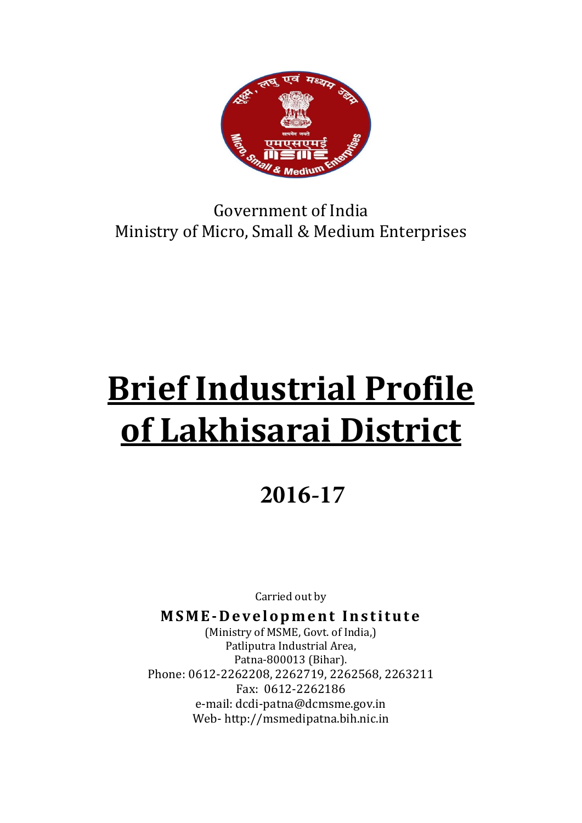

Government of India Ministry of Micro, Small & Medium Enterprises

# Brief Industrial Profile of Lakhisarai District

# **2016-17**

Carried out by

MSME-Development Institute

(Ministry of MSME, Govt. of India,) Patliputra Industrial Area, Patna-800013 (Bihar). Phone: 0612-2262208, 2262719, 2262568, 2263211 Fax: 0612-2262186 e-mail: dcdi-patna@dcmsme.gov.in Web- http://msmedipatna.bih.nic.in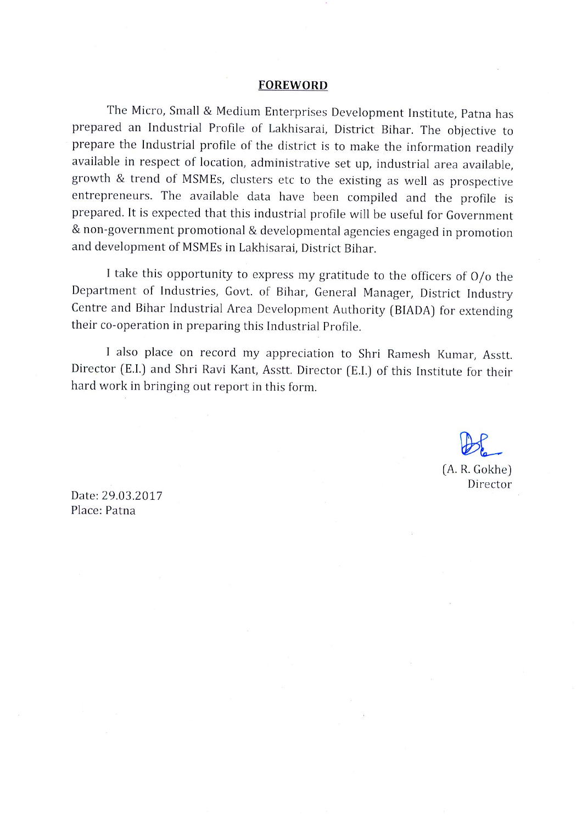#### **FOREWORD**

The Micro, Small & Medium Enterprises Development Institute, Patna has prepared an Industrial Profile of Lakhisarai, District Bihar. The objective to prepare the Industrial profile of the district is to make the information readily available in respect of location, administrative set up, industrial area available, growth & trend of MSMEs, clusters etc to the existing as well as prospective entrepreneurs. The available data have been compiled and the profile is prepared. It is expected that this industrial profile will be useful for Government & non-government promotional & developmental agencies engaged in promotion and development of MSMEs in Lakhisarai, District Bihar.

I take this opportunity to express my gratitude to the officers of  $O/O$  the Department of Industries, Govt. of Bihar, General Manager, District Industry Centre and Bihar Industrial Area Development Authority (BIADA) for extending their co-operation in preparing this Industrial Profile.

I also place on record my appreciation to Shri Ramesh Kumar, Asstt. Director (E.I.) and Shri Ravi Kant, Asstt. Director (E.I.) of this Institute for their hard work in bringing out report in this form.

(A. R. Gokhe)

Director

Date: 29.03.2017 Place: Patna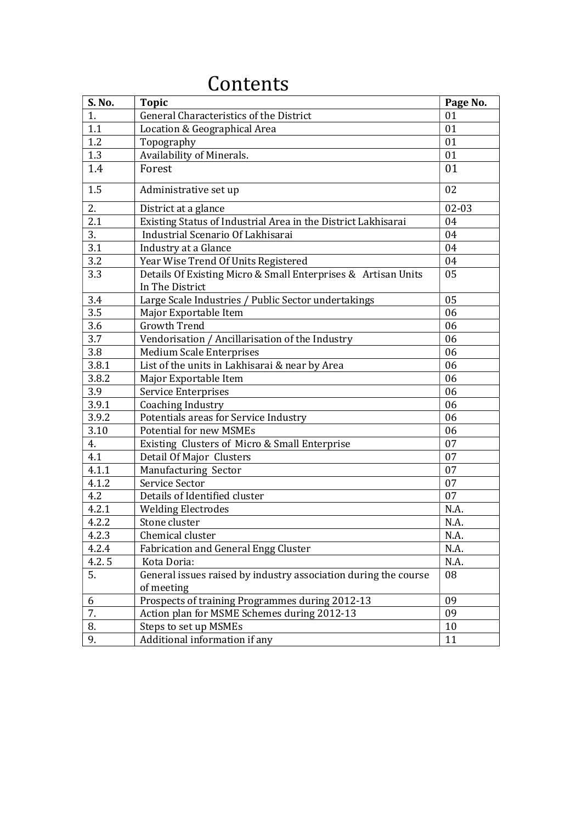| S. No. | <b>Topic</b>                                                                     | Page No.  |
|--------|----------------------------------------------------------------------------------|-----------|
| 1.     | General Characteristics of the District                                          | 01        |
| 1.1    | Location & Geographical Area                                                     | 01        |
| 1.2    | Topography                                                                       | 01        |
| 1.3    | Availability of Minerals.                                                        | 01        |
| 1.4    | Forest                                                                           | 01        |
| 1.5    | Administrative set up                                                            | 02        |
| 2.     | District at a glance                                                             | $02 - 03$ |
| 2.1    | Existing Status of Industrial Area in the District Lakhisarai                    | 04        |
| 3.     | Industrial Scenario Of Lakhisarai                                                | 04        |
| 3.1    | Industry at a Glance                                                             | 04        |
| 3.2    | Year Wise Trend Of Units Registered                                              | 04        |
| 3.3    | Details Of Existing Micro & Small Enterprises & Artisan Units<br>In The District | 05        |
| 3.4    | Large Scale Industries / Public Sector undertakings                              | 05        |
| 3.5    | Major Exportable Item                                                            | 06        |
| 3.6    | <b>Growth Trend</b>                                                              | 06        |
| 3.7    | Vendorisation / Ancillarisation of the Industry                                  | 06        |
| 3.8    | <b>Medium Scale Enterprises</b>                                                  | 06        |
| 3.8.1  | List of the units in Lakhisarai & near by Area                                   | 06        |
| 3.8.2  | Major Exportable Item                                                            | 06        |
| 3.9    | Service Enterprises                                                              | 06        |
| 3.9.1  | Coaching Industry                                                                | 06        |
| 3.9.2  | Potentials areas for Service Industry                                            | 06        |
| 3.10   | <b>Potential for new MSMEs</b>                                                   | 06        |
| 4.     | Existing Clusters of Micro & Small Enterprise                                    | 07        |
| 4.1    | Detail Of Major Clusters                                                         | 07        |
| 4.1.1  | Manufacturing Sector                                                             | 07        |
| 4.1.2  | Service Sector                                                                   | 07        |
| 4.2    | Details of Identified cluster                                                    | 07        |
| 4.2.1  | <b>Welding Electrodes</b>                                                        | N.A.      |
| 4.2.2  | Stone cluster                                                                    | N.A.      |
| 4.2.3  | Chemical cluster                                                                 | N.A.      |
| 4.2.4  | <b>Fabrication and General Engg Cluster</b>                                      | N.A.      |
| 4.2.5  | Kota Doria:                                                                      | N.A.      |
| 5.     | General issues raised by industry association during the course                  | 08        |
|        | of meeting                                                                       |           |
| 6      | Prospects of training Programmes during 2012-13                                  | 09        |
| 7.     | Action plan for MSME Schemes during 2012-13                                      | 09        |
| 8.     | Steps to set up MSMEs                                                            | $10\,$    |
| 9.     | Additional information if any                                                    | 11        |

# Contents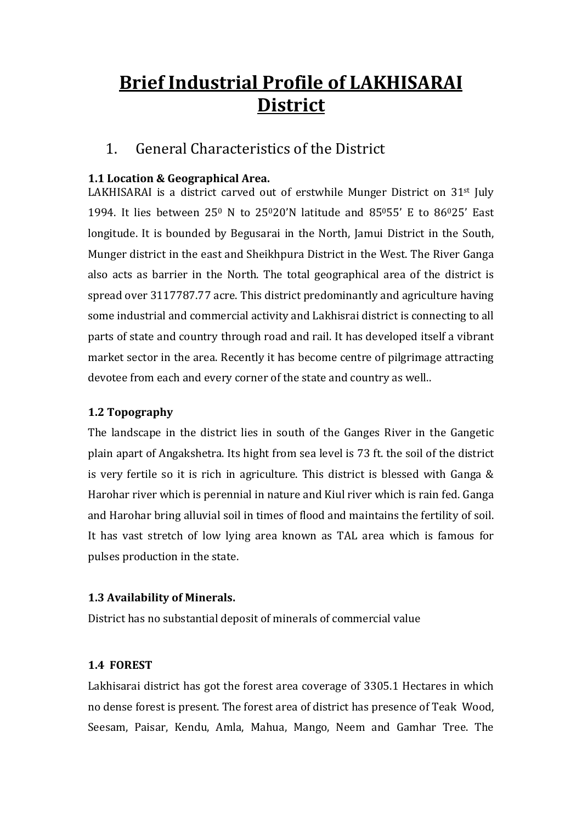# Brief Industrial Profile of LAKHISARAI **District**

#### 1. General Characteristics of the District

#### 1.1 Location & Geographical Area.

LAKHISARAI is a district carved out of erstwhile Munger District on 31<sup>st</sup> July 1994. It lies between  $25^0$  N to  $25^020'$ N latitude and  $85^055'$  E to  $86^025'$  East longitude. It is bounded by Begusarai in the North, Jamui District in the South, Munger district in the east and Sheikhpura District in the West. The River Ganga also acts as barrier in the North. The total geographical area of the district is spread over 3117787.77 acre. This district predominantly and agriculture having some industrial and commercial activity and Lakhisrai district is connecting to all parts of state and country through road and rail. It has developed itself a vibrant market sector in the area. Recently it has become centre of pilgrimage attracting devotee from each and every corner of the state and country as well..

#### 1.2 Topography

The landscape in the district lies in south of the Ganges River in the Gangetic plain apart of Angakshetra. Its hight from sea level is 73 ft. the soil of the district is very fertile so it is rich in agriculture. This district is blessed with Ganga & Harohar river which is perennial in nature and Kiul river which is rain fed. Ganga and Harohar bring alluvial soil in times of flood and maintains the fertility of soil. It has vast stretch of low lying area known as TAL area which is famous for pulses production in the state.

#### 1.3 Availability of Minerals.

District has no substantial deposit of minerals of commercial value

#### 1.4 FOREST

Lakhisarai district has got the forest area coverage of 3305.1 Hectares in which no dense forest is present. The forest area of district has presence of Teak Wood, Seesam, Paisar, Kendu, Amla, Mahua, Mango, Neem and Gamhar Tree. The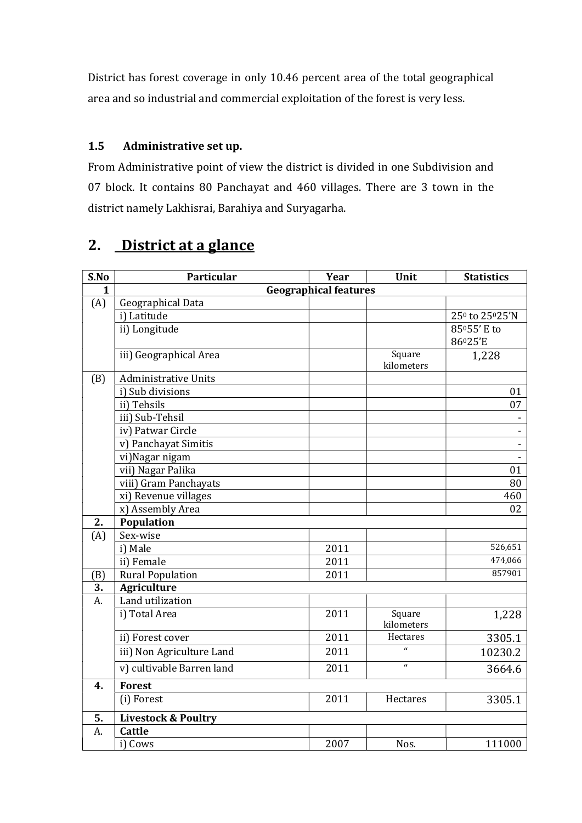District has forest coverage in only 10.46 percent area of the total geographical area and so industrial and commercial exploitation of the forest is very less.

#### 1.5 Administrative set up.

From Administrative point of view the district is divided in one Subdivision and 07 block. It contains 80 Panchayat and 460 villages. There are 3 town in the district namely Lakhisrai, Barahiya and Suryagarha.

## 2. District at a glance

| S.No | Particular                     | Year | Unit                 | <b>Statistics</b>                       |  |  |
|------|--------------------------------|------|----------------------|-----------------------------------------|--|--|
| 1    | <b>Geographical features</b>   |      |                      |                                         |  |  |
| (A)  | Geographical Data              |      |                      |                                         |  |  |
|      | i) Latitude                    |      |                      | 25 <sup>0</sup> to 25 <sup>0</sup> 25'N |  |  |
|      | ii) Longitude                  |      |                      | 85°55' E to                             |  |  |
|      |                                |      |                      | 86025'E                                 |  |  |
|      | iii) Geographical Area         |      | Square<br>kilometers | 1,228                                   |  |  |
| (B)  | <b>Administrative Units</b>    |      |                      |                                         |  |  |
|      | i) Sub divisions               |      |                      | 01                                      |  |  |
|      | ii) Tehsils                    |      |                      | 07                                      |  |  |
|      | iii) Sub-Tehsil                |      |                      |                                         |  |  |
|      | iv) Patwar Circle              |      |                      |                                         |  |  |
|      | v) Panchayat Simitis           |      |                      | L.                                      |  |  |
|      | vi)Nagar nigam                 |      |                      | $\overline{a}$                          |  |  |
|      | vii) Nagar Palika              |      |                      | 01                                      |  |  |
|      | viii) Gram Panchayats          |      |                      | 80                                      |  |  |
|      | xi) Revenue villages           |      |                      | 460                                     |  |  |
|      | x) Assembly Area               |      |                      | 02                                      |  |  |
| 2.   | <b>Population</b>              |      |                      |                                         |  |  |
| (A)  | Sex-wise                       |      |                      |                                         |  |  |
|      | i) Male                        | 2011 |                      | 526,651                                 |  |  |
|      | ii) Female                     | 2011 |                      | 474,066                                 |  |  |
| (B)  | <b>Rural Population</b>        | 2011 |                      | 857901                                  |  |  |
| 3.   | <b>Agriculture</b>             |      |                      |                                         |  |  |
| A.   | Land utilization               |      |                      |                                         |  |  |
|      | i) Total Area                  | 2011 | Square<br>kilometers | 1,228                                   |  |  |
|      | ii) Forest cover               | 2011 | Hectares             | 3305.1                                  |  |  |
|      | iii) Non Agriculture Land      | 2011 | $\mathbf{u}$         | 10230.2                                 |  |  |
|      | v) cultivable Barren land      | 2011 | $\mathbf{r}$         | 3664.6                                  |  |  |
| 4.   | <b>Forest</b>                  |      |                      |                                         |  |  |
|      | (i) Forest                     | 2011 | Hectares             | 3305.1                                  |  |  |
| 5.   | <b>Livestock &amp; Poultry</b> |      |                      |                                         |  |  |
| A.   | <b>Cattle</b>                  |      |                      |                                         |  |  |
|      | i) Cows                        | 2007 | Nos.                 | 111000                                  |  |  |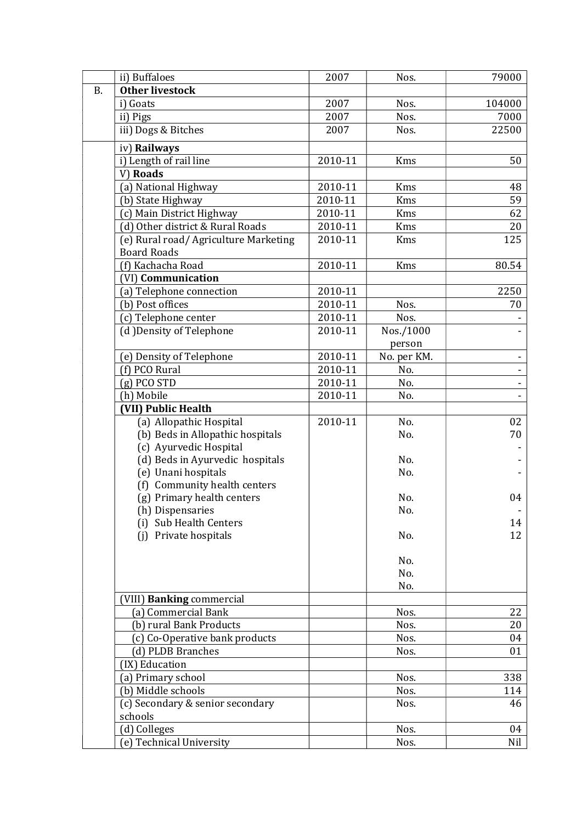|           | ii) Buffaloes                         | 2007                   | Nos.        | 79000  |
|-----------|---------------------------------------|------------------------|-------------|--------|
| <b>B.</b> | <b>Other livestock</b>                |                        |             |        |
|           | i) Goats                              | 2007                   | Nos.        | 104000 |
|           | ii) Pigs                              | 2007                   | Nos.        | 7000   |
|           | iii) Dogs & Bitches                   | 2007                   | Nos.        | 22500  |
|           | iv) Railways                          |                        |             |        |
|           | i) Length of rail line                | 2010-11                | Kms         | 50     |
|           | V) Roads                              |                        |             |        |
|           | (a) National Highway                  | 2010-11                | Kms         | 48     |
|           | (b) State Highway                     | 2010-11                | Kms         | 59     |
|           | (c) Main District Highway             | 2010-11                | <b>Kms</b>  | 62     |
|           | (d) Other district & Rural Roads      | 2010-11                | Kms         | 20     |
|           | (e) Rural road/ Agriculture Marketing | 2010-11                | <b>Kms</b>  | 125    |
|           | <b>Board Roads</b>                    |                        |             |        |
|           | (f) Kachacha Road                     | 2010-11                | Kms         | 80.54  |
|           | (VI) Communication                    |                        |             |        |
|           | (a) Telephone connection              | 2010-11                |             | 2250   |
|           | (b) Post offices                      | 2010-11                | Nos.        | 70     |
|           | (c) Telephone center                  | 2010-11                | Nos.        |        |
|           | (d) Density of Telephone              | 2010-11                | Nos./1000   |        |
|           |                                       |                        | person      |        |
|           | (e) Density of Telephone              | 2010-11                | No. per KM. |        |
|           | (f) PCO Rural                         | $\overline{2010} - 11$ | No.         |        |
|           | $(g)$ PCO STD                         | 2010-11                | No.         |        |
|           | (h) Mobile                            | 2010-11                | No.         |        |
|           | (VII) Public Health                   |                        |             |        |
|           | (a) Allopathic Hospital               | 2010-11                | No.         | 02     |
|           | (b) Beds in Allopathic hospitals      |                        | No.         | 70     |
|           | (c) Ayurvedic Hospital                |                        |             |        |
|           | (d) Beds in Ayurvedic hospitals       |                        | No.         |        |
|           | (e) Unani hospitals                   |                        | No.         |        |
|           | (f) Community health centers          |                        |             |        |
|           | (g) Primary health centers            |                        | No.         | 04     |
|           | (h) Dispensaries                      |                        | No.         |        |
|           | (i) Sub Health Centers                |                        |             | 14     |
|           | Private hospitals<br>(i)              |                        | No.         | 12     |
|           |                                       |                        | No.         |        |
|           |                                       |                        | No.         |        |
|           |                                       |                        | No.         |        |
|           | (VIII) Banking commercial             |                        |             |        |
|           | (a) Commercial Bank                   |                        | Nos.        | 22     |
|           | (b) rural Bank Products               |                        | Nos.        | 20     |
|           | (c) Co-Operative bank products        |                        | Nos.        | 04     |
|           | (d) PLDB Branches                     |                        | Nos.        | 01     |
|           | (IX) Education                        |                        |             |        |
|           | (a) Primary school                    |                        | Nos.        | 338    |
|           | (b) Middle schools                    |                        | Nos.        | 114    |
|           | (c) Secondary & senior secondary      |                        | Nos.        | 46     |
|           | schools                               |                        |             |        |
|           | (d) Colleges                          |                        | Nos.        | 04     |
|           | (e) Technical University              |                        | Nos.        | Nil    |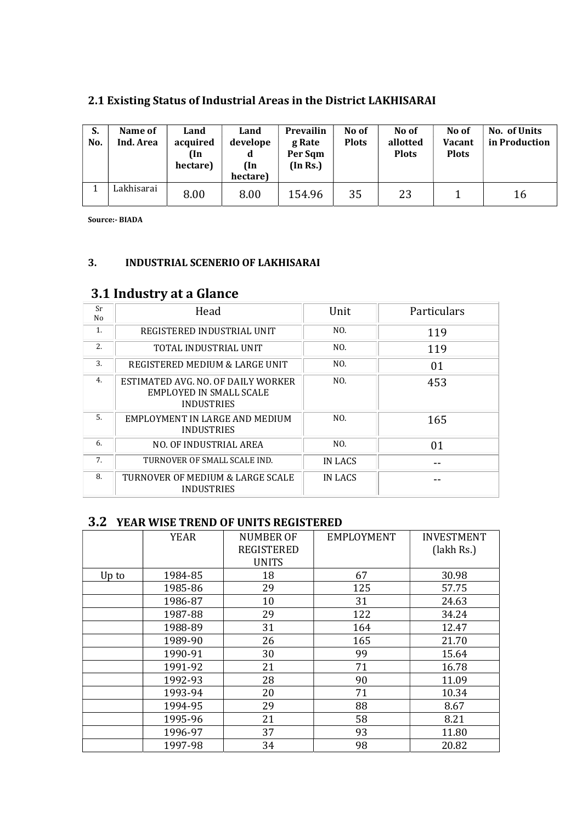| S.<br>No. | Name of<br>Ind. Area | Land<br>acquired<br>(In<br>hectare) | Land<br>develope<br>d<br>(In<br>hectare) | <b>Prevailin</b><br>g Rate<br>Per Sqm<br>(In Rs.) | No of<br><b>Plots</b> | No of<br>allotted<br><b>Plots</b> | No of<br>Vacant<br><b>Plots</b> | No. of Units<br>in Production |
|-----------|----------------------|-------------------------------------|------------------------------------------|---------------------------------------------------|-----------------------|-----------------------------------|---------------------------------|-------------------------------|
|           | Lakhisarai           | 8.00                                | 8.00                                     | 154.96                                            | 35                    | 23                                |                                 | 16                            |

#### 2.1 Existing Status of Industrial Areas in the District LAKHISARAI

Source:- BIADA

#### 3. INDUSTRIAL SCENERIO OF LAKHISARAI

#### 3.1 Industry at a Glance

| Sr<br>No | Head                                                                               | Unit    | Particulars |
|----------|------------------------------------------------------------------------------------|---------|-------------|
| 1.       | REGISTERED INDUSTRIAL UNIT                                                         | NO.     | 119         |
| 2.       | TOTAL INDUSTRIAL UNIT                                                              | NO.     | 119         |
| 3.       | REGISTERED MEDIUM & LARGE UNIT                                                     | NO.     | 01          |
| 4.       | ESTIMATED AVG. NO. OF DAILY WORKER<br>EMPLOYED IN SMALL SCALE<br><b>INDUSTRIES</b> | NO.     | 453         |
| 5.       | EMPLOYMENT IN LARGE AND MEDIUM<br><b>INDUSTRIES</b>                                | NO.     | 165         |
| 6.       | NO. OF INDUSTRIAL AREA                                                             | NO.     | 01          |
| 7.       | TURNOVER OF SMALL SCALE IND.                                                       | IN LACS |             |
| 8.       | TURNOVER OF MEDIUM & LARGE SCALE<br><b>INDUSTRIES</b>                              | IN LACS |             |

#### 3.2 YEAR WISE TREND OF UNITS REGISTERED

|       | <b>YEAR</b> | <b>NUMBER OF</b><br><b>REGISTERED</b><br><b>UNITS</b> | <b>EMPLOYMENT</b> | <b>INVESTMENT</b><br>(lakh Rs.) |
|-------|-------------|-------------------------------------------------------|-------------------|---------------------------------|
| Up to | 1984-85     | 18                                                    | 67                | 30.98                           |
|       | 1985-86     | 29                                                    | 125               | 57.75                           |
|       | 1986-87     | 10                                                    | 31                | 24.63                           |
|       | 1987-88     | 29                                                    | 122               | 34.24                           |
|       | 1988-89     | 31                                                    | 164               | 12.47                           |
|       | 1989-90     | 26                                                    | 165               | 21.70                           |
|       | 1990-91     | 30                                                    | 99                | 15.64                           |
|       | 1991-92     | 21                                                    | 71                | 16.78                           |
|       | 1992-93     | 28                                                    | 90                | 11.09                           |
|       | 1993-94     | 20                                                    | 71                | 10.34                           |
|       | 1994-95     | 29                                                    | 88                | 8.67                            |
|       | 1995-96     | 21                                                    | 58                | 8.21                            |
|       | 1996-97     | 37                                                    | 93                | 11.80                           |
|       | 1997-98     | 34                                                    | 98                | 20.82                           |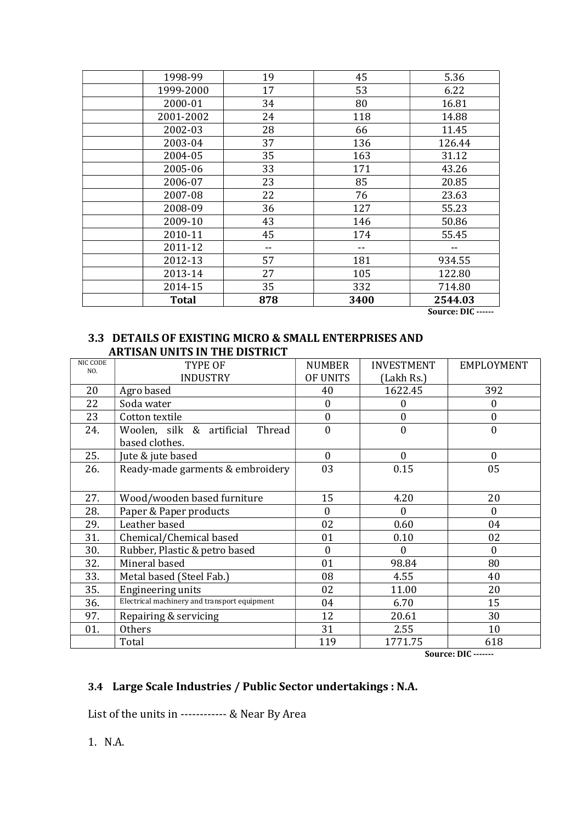| 1998-99      | 19  | 45   | 5.36    |
|--------------|-----|------|---------|
| 1999-2000    | 17  | 53   | 6.22    |
| 2000-01      | 34  | 80   | 16.81   |
| 2001-2002    | 24  | 118  | 14.88   |
| 2002-03      | 28  | 66   | 11.45   |
| 2003-04      | 37  | 136  | 126.44  |
| 2004-05      | 35  | 163  | 31.12   |
| 2005-06      | 33  | 171  | 43.26   |
| 2006-07      | 23  | 85   | 20.85   |
| 2007-08      | 22  | 76   | 23.63   |
| 2008-09      | 36  | 127  | 55.23   |
| 2009-10      | 43  | 146  | 50.86   |
| 2010-11      | 45  | 174  | 55.45   |
| 2011-12      |     | --   |         |
| 2012-13      | 57  | 181  | 934.55  |
| 2013-14      | 27  | 105  | 122.80  |
| 2014-15      | 35  | 332  | 714.80  |
| <b>Total</b> | 878 | 3400 | 2544.03 |

Source: DIC ------

#### 3.3 DETAILS OF EXISTING MICRO & SMALL ENTERPRISES AND ARTISAN UNITS IN THE DISTRICT

| NIC CODE<br>NO. | TYPE OF                                            | <b>NUMBER</b> | <b>INVESTMENT</b> | EMPLOYMENT     |
|-----------------|----------------------------------------------------|---------------|-------------------|----------------|
|                 | <b>INDUSTRY</b>                                    | OF UNITS      | (Lakh Rs.)        |                |
| 20              | Agro based                                         | 40            | 1622.45           | 392            |
| 22              | Soda water                                         | $\Omega$      | $\Omega$          | $\Omega$       |
| 23              | Cotton textile                                     | $\theta$      | $\theta$          | $\mathbf{0}$   |
| 24.             | Woolen, silk & artificial Thread<br>based clothes. | $\theta$      | $\theta$          | $\theta$       |
| 25.             | Jute & jute based                                  | $\theta$      | $\theta$          | $\overline{0}$ |
| 26.             | Ready-made garments & embroidery                   | 03            | 0.15              | 05             |
| 27.             | Wood/wooden based furniture                        | 15            | 4.20              | 20             |
| 28.             | Paper & Paper products                             | $\theta$      | $\Omega$          | $\theta$       |
| 29.             | Leather based                                      | 02            | 0.60              | 04             |
| 31.             | Chemical/Chemical based                            | 01            | 0.10              | 02             |
| 30.             | Rubber, Plastic & petro based                      | $\mathbf{0}$  | $\Omega$          | $\Omega$       |
| 32.             | Mineral based                                      | 01            | 98.84             | 80             |
| 33.             | Metal based (Steel Fab.)                           | 08            | 4.55              | 40             |
| 35.             | Engineering units                                  | 02            | 11.00             | 20             |
| 36.             | Electrical machinery and transport equipment       | 04            | 6.70              | 15             |
| 97.             | Repairing & servicing                              | 12            | 20.61             | 30             |
| 01.             | <b>Others</b>                                      | 31            | 2.55              | 10             |
|                 | Total                                              | 119           | 1771.75           | 618            |

Source: DIC -------

#### 3.4 Large Scale Industries / Public Sector undertakings : N.A.

List of the units in ------------ & Near By Area

1. N.A.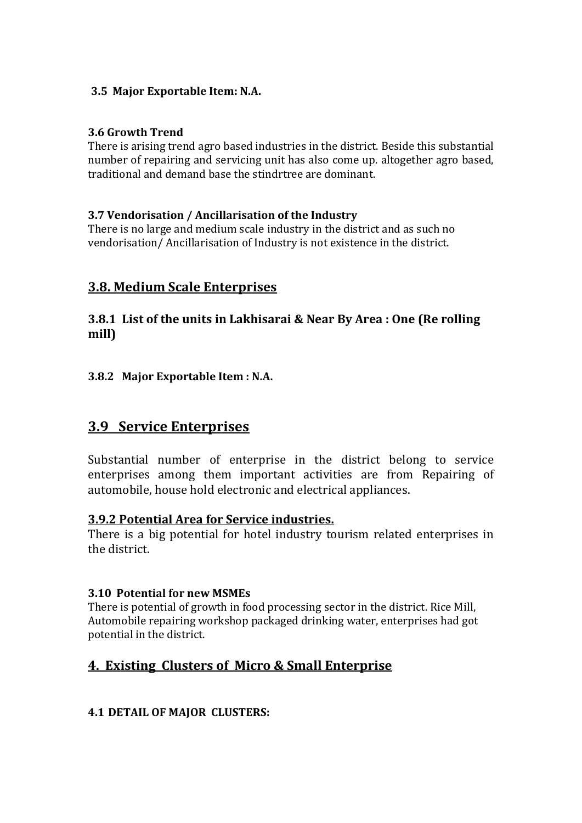#### 3.5 Major Exportable Item: N.A.

#### 3.6 Growth Trend

There is arising trend agro based industries in the district. Beside this substantial number of repairing and servicing unit has also come up. altogether agro based, traditional and demand base the stindrtree are dominant.

#### 3.7 Vendorisation / Ancillarisation of the Industry

There is no large and medium scale industry in the district and as such no vendorisation/ Ancillarisation of Industry is not existence in the district.

#### 3.8. Medium Scale Enterprises

#### 3.8.1 List of the units in Lakhisarai & Near By Area : One (Re rolling mill)

#### 3.8.2 Major Exportable Item : N.A.

#### 3.9 Service Enterprises

Substantial number of enterprise in the district belong to service enterprises among them important activities are from Repairing of automobile, house hold electronic and electrical appliances.

#### 3.9.2 Potential Area for Service industries.

There is a big potential for hotel industry tourism related enterprises in the district.

#### 3.10 Potential for new MSMEs

There is potential of growth in food processing sector in the district. Rice Mill, Automobile repairing workshop packaged drinking water, enterprises had got potential in the district.

#### 4. Existing Clusters of Micro & Small Enterprise

#### 4.1 DETAIL OF MAJOR CLUSTERS: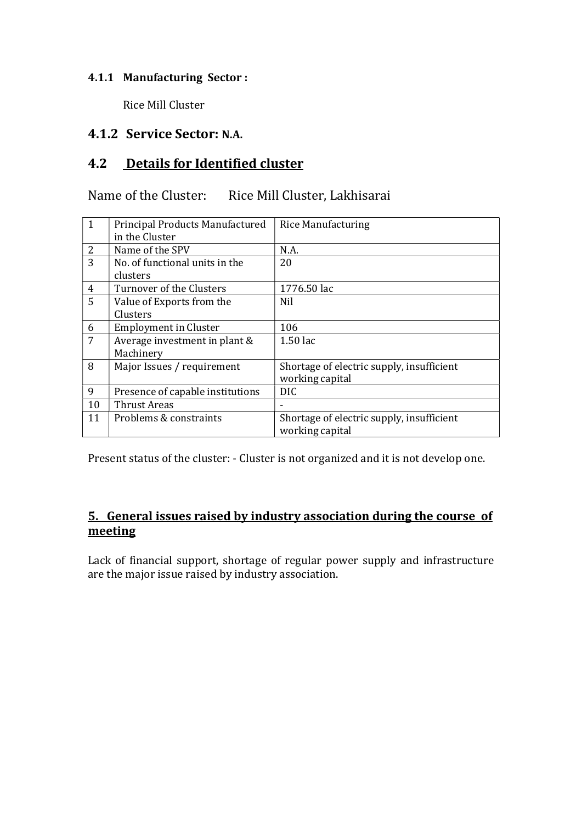#### 4.1.1 Manufacturing Sector :

Rice Mill Cluster

#### 4.1.2 Service Sector: N.A.

#### 4.2 Details for Identified cluster

#### Name of the Cluster: Rice Mill Cluster, Lakhisarai

| $\mathbf{1}$   | Principal Products Manufactured  | <b>Rice Manufacturing</b>                 |
|----------------|----------------------------------|-------------------------------------------|
|                | in the Cluster                   |                                           |
| 2              | Name of the SPV                  | N.A.                                      |
| 3              | No. of functional units in the   | 20                                        |
|                | clusters                         |                                           |
| $\overline{4}$ | Turnover of the Clusters         | 1776.50 lac                               |
| 5              | Value of Exports from the        | Nil                                       |
|                | Clusters                         |                                           |
| 6              | <b>Employment in Cluster</b>     | 106                                       |
| 7              | Average investment in plant &    | 1.50 lac                                  |
|                | Machinery                        |                                           |
| 8              | Major Issues / requirement       | Shortage of electric supply, insufficient |
|                |                                  | working capital                           |
| 9              | Presence of capable institutions | DIC.                                      |
| 10             | <b>Thrust Areas</b>              |                                           |
| 11             | Problems & constraints           | Shortage of electric supply, insufficient |
|                |                                  | working capital                           |

Present status of the cluster: - Cluster is not organized and it is not develop one.

#### 5. General issues raised by industry association during the course of meeting

Lack of financial support, shortage of regular power supply and infrastructure are the major issue raised by industry association.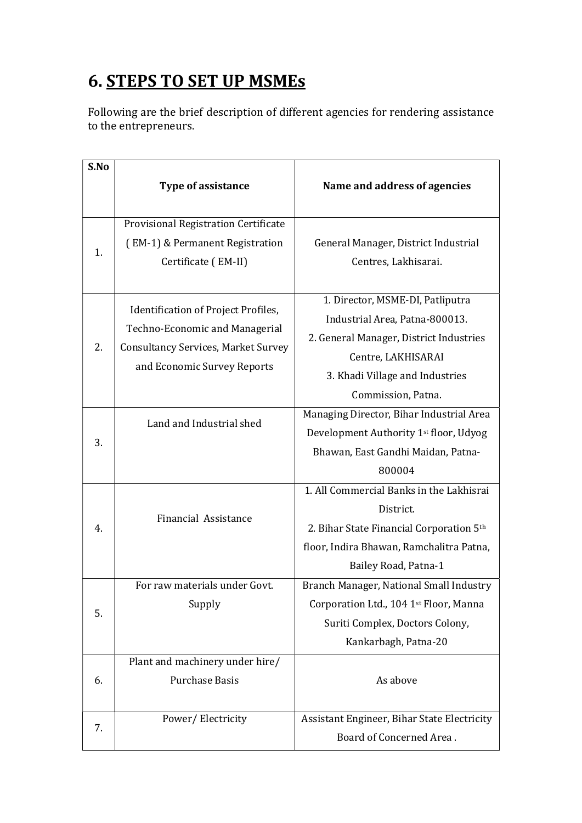# 6. STEPS TO SET UP MSMEs

Following are the brief description of different agencies for rendering assistance to the entrepreneurs.

| S.No |                                            |                                             |
|------|--------------------------------------------|---------------------------------------------|
|      | <b>Type of assistance</b>                  | Name and address of agencies                |
|      |                                            |                                             |
|      | Provisional Registration Certificate       |                                             |
| 1.   | (EM-1) & Permanent Registration            | General Manager, District Industrial        |
|      | Certificate (EM-II)                        | Centres, Lakhisarai.                        |
|      |                                            |                                             |
|      | Identification of Project Profiles,        | 1. Director, MSME-DI, Patliputra            |
|      | Techno-Economic and Managerial             | Industrial Area, Patna-800013.              |
| 2.   | <b>Consultancy Services, Market Survey</b> | 2. General Manager, District Industries     |
|      | and Economic Survey Reports                | Centre, LAKHISARAI                          |
|      |                                            | 3. Khadi Village and Industries             |
|      |                                            | Commission, Patna.                          |
|      | Land and Industrial shed                   | Managing Director, Bihar Industrial Area    |
| 3.   |                                            | Development Authority 1st floor, Udyog      |
|      |                                            | Bhawan, East Gandhi Maidan, Patna-          |
|      |                                            | 800004                                      |
|      |                                            | 1. All Commercial Banks in the Lakhisrai    |
|      | <b>Financial Assistance</b>                | District.                                   |
| 4.   |                                            | 2. Bihar State Financial Corporation 5th    |
|      |                                            | floor, Indira Bhawan, Ramchalitra Patna,    |
|      |                                            | Bailey Road, Patna-1                        |
|      | For raw materials under Govt.              | Branch Manager, National Small Industry     |
| 5.   | Supply                                     | Corporation Ltd., 104 1st Floor, Manna      |
|      |                                            | Suriti Complex, Doctors Colony,             |
|      |                                            | Kankarbagh, Patna-20                        |
|      | Plant and machinery under hire/            |                                             |
| 6.   | <b>Purchase Basis</b>                      | As above                                    |
|      |                                            |                                             |
| 7.   | Power/Electricity                          | Assistant Engineer, Bihar State Electricity |
|      |                                            | Board of Concerned Area.                    |